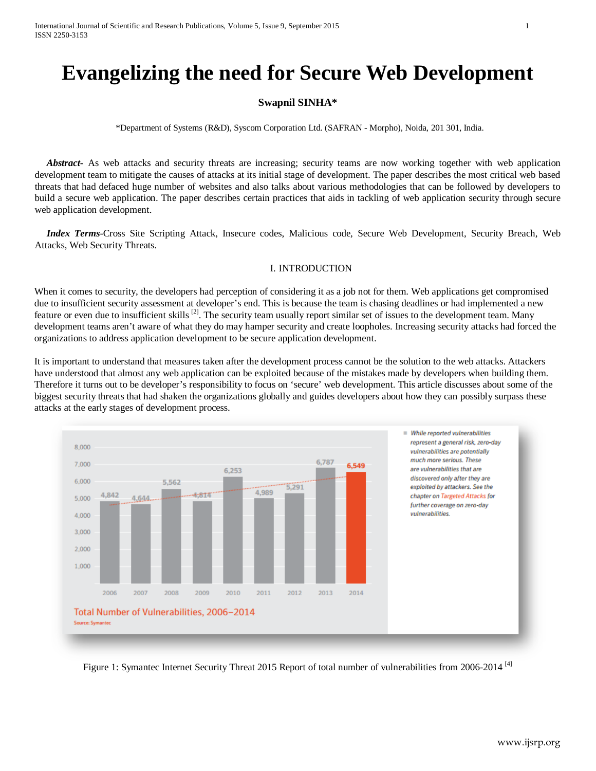# **Evangelizing the need for Secure Web Development**

## **Swapnil SINHA\***

\*Department of Systems (R&D), Syscom Corporation Ltd. (SAFRAN - Morpho), Noida, 201 301, India.

 *Abstract***-** As web attacks and security threats are increasing; security teams are now working together with web application development team to mitigate the causes of attacks at its initial stage of development. The paper describes the most critical web based threats that had defaced huge number of websites and also talks about various methodologies that can be followed by developers to build a secure web application. The paper describes certain practices that aids in tackling of web application security through secure web application development.

 *Index Terms*-Cross Site Scripting Attack, Insecure codes, Malicious code, Secure Web Development, Security Breach, Web Attacks, Web Security Threats.

## I. INTRODUCTION

When it comes to security, the developers had perception of considering it as a job not for them. Web applications get compromised due to insufficient security assessment at developer's end. This is because the team is chasing deadlines or had implemented a new feature or even due to insufficient skills  $^{[2]}$ . The security team usually report similar set of issues to the development team. Many development teams aren't aware of what they do may hamper security and create loopholes. Increasing security attacks had forced the organizations to address application development to be secure application development.

It is important to understand that measures taken after the development process cannot be the solution to the web attacks. Attackers have understood that almost any web application can be exploited because of the mistakes made by developers when building them. Therefore it turns out to be developer's responsibility to focus on 'secure' web development. This article discusses about some of the biggest security threats that had shaken the organizations globally and guides developers about how they can possibly surpass these attacks at the early stages of development process.



Figure 1: Symantec Internet Security Threat 2015 Report of total number of vulnerabilities from 2006-2014<sup>[4]</sup>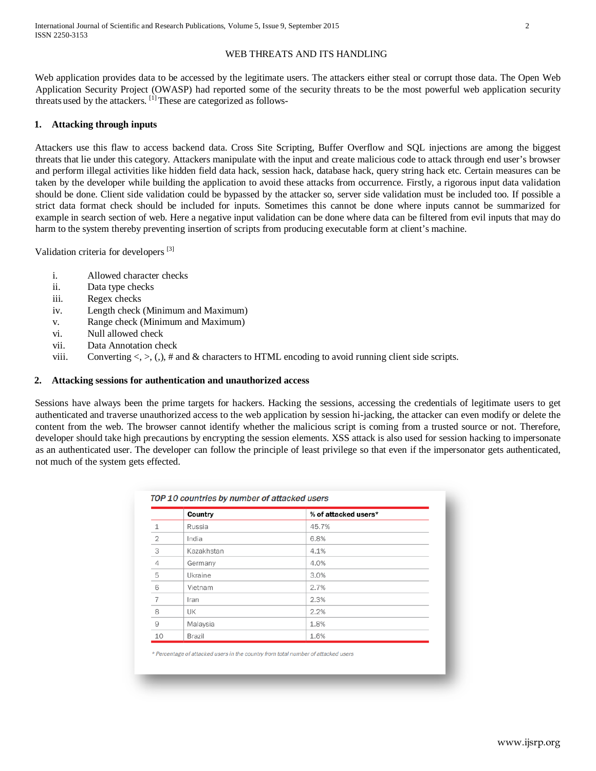## WEB THREATS AND ITS HANDLING

Web application provides data to be accessed by the legitimate users. The attackers either steal or corrupt those data. The Open Web Application Security Project (OWASP) had reported some of the security threats to be the most powerful web application security threats used by the attackers.  $\left[1\right]$ These are categorized as follows-

## **1. Attacking through inputs**

Attackers use this flaw to access backend data. Cross Site Scripting, Buffer Overflow and SQL injections are among the biggest threats that lie under this category. Attackers manipulate with the input and create malicious code to attack through end user's browser and perform illegal activities like hidden field data hack, session hack, database hack, query string hack etc. Certain measures can be taken by the developer while building the application to avoid these attacks from occurrence. Firstly, a rigorous input data validation should be done. Client side validation could be bypassed by the attacker so, server side validation must be included too. If possible a strict data format check should be included for inputs. Sometimes this cannot be done where inputs cannot be summarized for example in search section of web. Here a negative input validation can be done where data can be filtered from evil inputs that may do harm to the system thereby preventing insertion of scripts from producing executable form at client's machine.

Validation criteria for developers<sup>[3]</sup>

- i. Allowed character checks
- ii. Data type checks
- iii. Regex checks
- iv. Length check (Minimum and Maximum)
- v. Range check (Minimum and Maximum)
- vi. Null allowed check
- vii. Data Annotation check
- viii. Converting  $\langle \rangle$ ,  $\langle \rangle$ ,  $\sharp$  and  $\&$  characters to HTML encoding to avoid running client side scripts.

#### **2. Attacking sessions for authentication and unauthorized access**

Sessions have always been the prime targets for hackers. Hacking the sessions, accessing the credentials of legitimate users to get authenticated and traverse unauthorized access to the web application by session hi-jacking, the attacker can even modify or delete the content from the web. The browser cannot identify whether the malicious script is coming from a trusted source or not. Therefore, developer should take high precautions by encrypting the session elements. XSS attack is also used for session hacking to impersonate as an authenticated user. The developer can follow the principle of least privilege so that even if the impersonator gets authenticated, not much of the system gets effected.

|                | Country    | % of attacked users* |
|----------------|------------|----------------------|
| 1              | Russia     | 45.7%                |
| $\overline{2}$ | India      | 6.8%                 |
| 3              | Kazakhstan | 4.1%                 |
| 4              | Germany    | 4.0%                 |
| 5              | Ukraine    | 3.0%                 |
| 6              | Vietnam    | 2.7%                 |
| $\overline{7}$ | Iran       | 2.3%                 |
| 8              | UK         | 2.2%                 |
| $\overline{9}$ | Malaysia   | 1.8%                 |
| 10             | Brazil     | 1.6%                 |